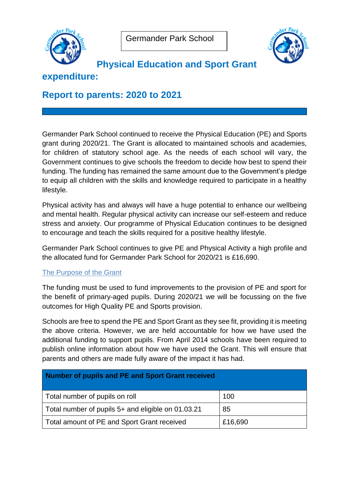



**Physical Education and Sport Grant** 

# **expenditure:**

# **Report to parents: 2020 to 2021**

Germander Park School continued to receive the Physical Education (PE) and Sports grant during 2020/21. The Grant is allocated to maintained schools and academies, for children of statutory school age. As the needs of each school will vary, the Government continues to give schools the freedom to decide how best to spend their funding. The funding has remained the same amount due to the Government's pledge to equip all children with the skills and knowledge required to participate in a healthy lifestyle.

Physical activity has and always will have a huge potential to enhance our wellbeing and mental health. Regular physical activity can increase our self-esteem and reduce stress and anxiety. Our programme of Physical Education continues to be designed to encourage and teach the skills required for a positive healthy lifestyle.

Germander Park School continues to give PE and Physical Activity a high profile and the allocated fund for Germander Park School for 2020/21 is £16,690.

## The Purpose of the Grant

The funding must be used to fund improvements to the provision of PE and sport for the benefit of primary-aged pupils. During 2020/21 we will be focussing on the five outcomes for High Quality PE and Sports provision.

Schools are free to spend the PE and Sport Grant as they see fit, providing it is meeting the above criteria. However, we are held accountable for how we have used the additional funding to support pupils. From April 2014 schools have been required to publish online information about how we have used the Grant. This will ensure that parents and others are made fully aware of the impact it has had.

| Number of pupils and PE and Sport Grant received   |         |
|----------------------------------------------------|---------|
| Total number of pupils on roll                     | 100     |
| Total number of pupils 5+ and eligible on 01.03.21 | 85      |
| Total amount of PE and Sport Grant received        | £16,690 |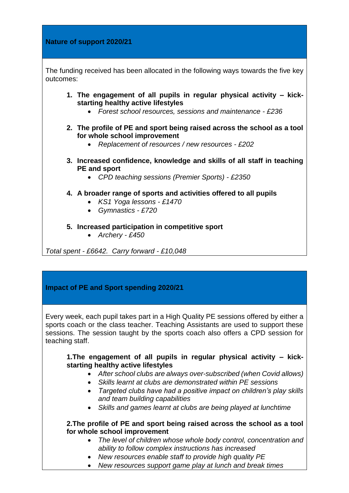#### **Nature of support 2020/21**

The funding received has been allocated in the following ways towards the five key outcomes:

- **1. The engagement of all pupils in regular physical activity – kickstarting healthy active lifestyles**
	- *Forest school resources, sessions and maintenance - £236*
- **2. The profile of PE and sport being raised across the school as a tool for whole school improvement** 
	- *Replacement of resources / new resources - £202*
- **3. Increased confidence, knowledge and skills of all staff in teaching PE and sport**
	- *CPD teaching sessions (Premier Sports) - £2350*
- **4. A broader range of sports and activities offered to all pupils**
	- *KS1 Yoga lessons - £1470*
	- *Gymnastics - £720*
- **5. Increased participation in competitive sport**
	- *Archery - £450*

*Total spent - £6642. Carry forward - £10,048*

## **Impact of PE and Sport spending 2020/21**

Every week, each pupil takes part in a High Quality PE sessions offered by either a sports coach or the class teacher. Teaching Assistants are used to support these sessions. The session taught by the sports coach also offers a CPD session for teaching staff.

**1.The engagement of all pupils in regular physical activity – kickstarting healthy active lifestyles**

- *After school clubs are always over-subscribed (when Covid allows)*
- *Skills learnt at clubs are demonstrated within PE sessions*
- *Targeted clubs have had a positive impact on children's play skills and team building capabilities*
- *Skills and games learnt at clubs are being played at lunchtime*

#### **2.The profile of PE and sport being raised across the school as a tool for whole school improvement**

- *The level of children whose whole body control, concentration and ability to follow complex instructions has increased*
- *New resources enable staff to provide high quality PE*
- *New resources support game play at lunch and break times*